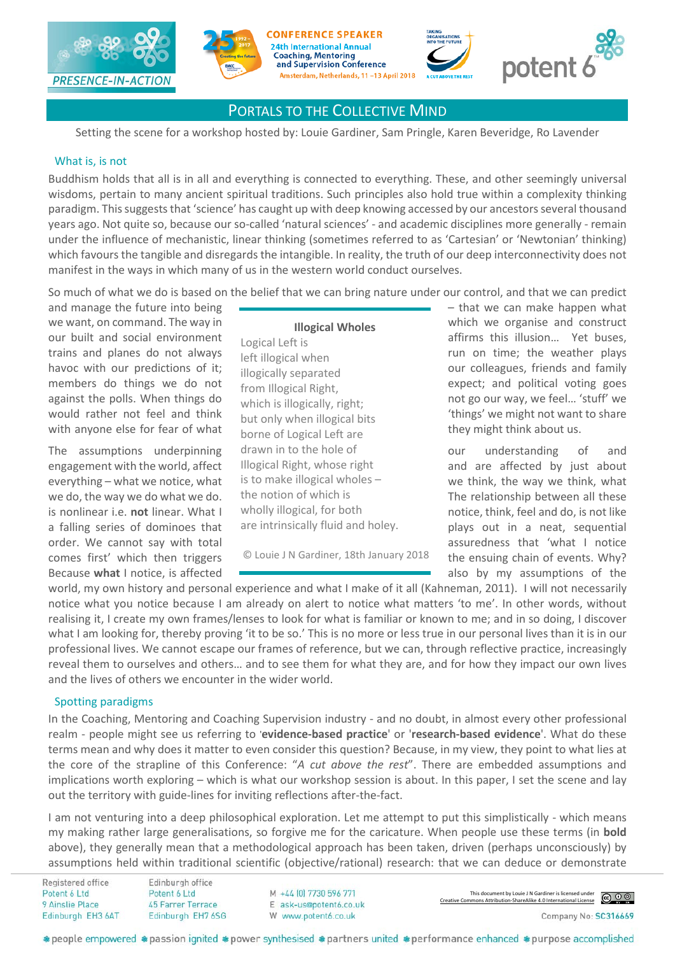









Setting the scene for a workshop hosted by: Louie Gardiner, Sam Pringle, Karen Beveridge, Ro Lavender

#### What is, is not

Buddhism holds that all is in all and everything is connected to everything. These, and other seemingly universal wisdoms, pertain to many ancient spiritual traditions. Such principles also hold true within a complexity thinking paradigm. This suggests that 'science' has caught up with deep knowing accessed by our ancestors several thousand years ago. Not quite so, because our so-called 'natural sciences' - and academic disciplines more generally - remain under the influence of mechanistic, linear thinking (sometimes referred to as 'Cartesian' or 'Newtonian' thinking) which favours the tangible and disregards the intangible. In reality, the truth of our deep interconnectivity does not manifest in the ways in which many of us in the western world conduct ourselves.

So much of what we do is based on the belief that we can bring nature under our control, and that we can predict

with anyone else for fear of what the series of  $l$  orient left are they might think about us.

#### **Illogical Wholes**

Logical Left is left illogical when illogically separated from Illogical Right, which is illogically, right; but only when illogical bits borne of Logical Left are drawn in to the hole of Illogical Right, whose right is to make illogical wholes – the notion of which is wholly illogical, for both are intrinsically fluid and holey.

© Louie J N Gardiner, 18th January 2018

and manage the future into being  $\overline{\phantom{a}}$   $\overline{\phantom{a}}$  = that we can make happen what we want, on command. The way in which we organise and construct our built and social environment and affirms this illusion... Yet buses, trains and planes do not always loft illogical when the same than on time; the weather plays havoc with our predictions of it; illogically contrated our colleagues, friends and family members do things we do not **from Illogical Right** expect; and political voting goes against the polls. When things do  $\frac{1}{2}$  which is illogically right. The not go our way, we feel... 'stuff' we would rather not feel and think  $\frac{1}{2}$  but only whan illogical bits  $\frac{1}{2}$  things' we might not want to share

The assumptions underpinning drawn in to the hole of the courcing of and engagement with the world, affect llogical Right, whose right and are affected by just about everything – what we notice, what is to make illogical wholes – we think, the way we think, what we do, the way we do what we do. Ithe notion of which is The relationship between all these is nonlinear i.e. **not** linear. What I wholly illogical, for both **notice**, think, feel and do, is not like a falling series of dominoes that are intrinsically fluid and holey. being plays out in a neat, sequential order. We cannot say with total and the state of the system assuredness that 'what I notice comes first' which then triggers  $\heartsuit$  Louie J N Gardiner, 18th January 2018 the ensuing chain of events. Why? Because **what** I notice, is affected **also be also by my assumptions** of the

world, my own history and personal experience and what I make of it all (Kahneman, 2011). I will not necessarily notice what you notice because I am already on alert to notice what matters 'to me'. In other words, without realising it, I create my own frames/lenses to look for what is familiar or known to me; and in so doing, I discover what I am looking for, thereby proving 'it to be so.' This is no more or less true in our personal lives than it is in our professional lives. We cannot escape our frames of reference, but we can, through reflective practice, increasingly reveal them to ourselves and others… and to see them for what they are, and for how they impact our own lives and the lives of others we encounter in the wider world.

#### Spotting paradigms

In the Coaching, Mentoring and Coaching Supervision industry - and no doubt, in almost every other professional realm - people might see us referring to '**evidence-based practice**' or '**research-based evidence**'. What do these terms mean and why does it matter to even consider this question? Because, in my view, they point to what lies at the core of the strapline of this Conference: "*A cut above the rest*". There are embedded assumptions and implications worth exploring – which is what our workshop session is about. In this paper, I set the scene and lay out the territory with guide-lines for inviting reflections after-the-fact.

I am not venturing into a deep philosophical exploration. Let me attempt to put this simplistically - which means my making rather large generalisations, so forgive me for the caricature. When people use these terms (in **bold** above), they generally mean that a methodological approach has been taken, driven (perhaps unconsciously) by assumptions held within traditional scientific (objective/rational) research: that we can deduce or demonstrate

Registered office Potent 6 Ltd 9 Ainslie Place Edinburgh EH3 6AT

M +44 (0) 7730 596 771 E ask-us@potent6.co.uk W www.potent6.co.uk

This document by Louie J N Gardiner is licensed under [Creative Commons Attribution-ShareAlike 4.0 International License](http://creativecommons.org/licenses/by-sa/4.0/)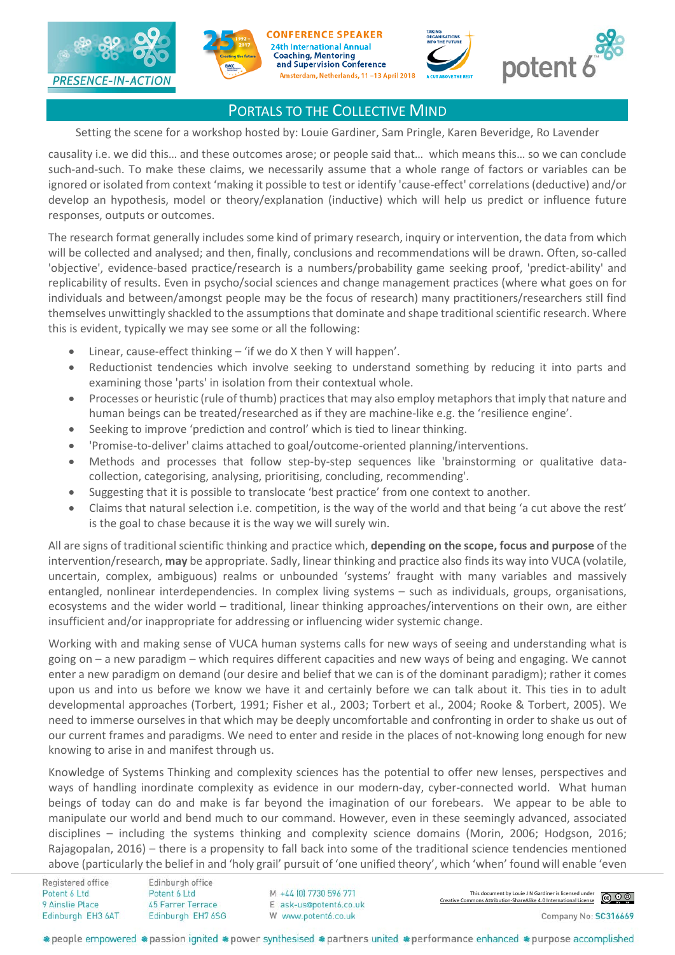









Setting the scene for a workshop hosted by: Louie Gardiner, Sam Pringle, Karen Beveridge, Ro Lavender

causality i.e. we did this… and these outcomes arose; or people said that… which means this… so we can conclude such-and-such. To make these claims, we necessarily assume that a whole range of factors or variables can be ignored or isolated from context 'making it possible to test or identify 'cause-effect' correlations (deductive) and/or develop an hypothesis, model or theory/explanation (inductive) which will help us predict or influence future responses, outputs or outcomes.

The research format generally includes some kind of primary research, inquiry or intervention, the data from which will be collected and analysed; and then, finally, conclusions and recommendations will be drawn. Often, so-called 'objective', evidence-based practice/research is a numbers/probability game seeking proof, 'predict-ability' and replicability of results. Even in psycho/social sciences and change management practices (where what goes on for individuals and between/amongst people may be the focus of research) many practitioners/researchers still find themselves unwittingly shackled to the assumptions that dominate and shape traditional scientific research. Where this is evident, typically we may see some or all the following:

- Linear, cause-effect thinking  $-$  'if we do X then Y will happen'.
- Reductionist tendencies which involve seeking to understand something by reducing it into parts and examining those 'parts' in isolation from their contextual whole.
- Processes or heuristic (rule of thumb) practices that may also employ metaphors that imply that nature and human beings can be treated/researched as if they are machine-like e.g. the 'resilience engine'.
- Seeking to improve 'prediction and control' which is tied to linear thinking.
- 'Promise-to-deliver' claims attached to goal/outcome-oriented planning/interventions.
- Methods and processes that follow step-by-step sequences like 'brainstorming or qualitative datacollection, categorising, analysing, prioritising, concluding, recommending'.
- Suggesting that it is possible to translocate 'best practice' from one context to another.
- Claims that natural selection i.e. competition, is the way of the world and that being 'a cut above the rest' is the goal to chase because it is the way we will surely win.

All are signs of traditional scientific thinking and practice which, **depending on the scope, focus and purpose** of the intervention/research, **may** be appropriate. Sadly, linear thinking and practice also finds its way into VUCA (volatile, uncertain, complex, ambiguous) realms or unbounded 'systems' fraught with many variables and massively entangled, nonlinear interdependencies. In complex living systems – such as individuals, groups, organisations, ecosystems and the wider world – traditional, linear thinking approaches/interventions on their own, are either insufficient and/or inappropriate for addressing or influencing wider systemic change.

Working with and making sense of VUCA human systems calls for new ways of seeing and understanding what is going on – a new paradigm – which requires different capacities and new ways of being and engaging. We cannot enter a new paradigm on demand (our desire and belief that we can is of the dominant paradigm); rather it comes upon us and into us before we know we have it and certainly before we can talk about it. This ties in to adult developmental approaches (Torbert, 1991; Fisher et al., 2003; Torbert et al., 2004; Rooke & Torbert, 2005). We need to immerse ourselves in that which may be deeply uncomfortable and confronting in order to shake us out of our current frames and paradigms. We need to enter and reside in the places of not-knowing long enough for new knowing to arise in and manifest through us.

Knowledge of Systems Thinking and complexity sciences has the potential to offer new lenses, perspectives and ways of handling inordinate complexity as evidence in our modern-day, cyber-connected world. What human beings of today can do and make is far beyond the imagination of our forebears. We appear to be able to manipulate our world and bend much to our command. However, even in these seemingly advanced, associated disciplines – including the systems thinking and complexity science domains (Morin, 2006; Hodgson, 2016; Rajagopalan, 2016) – there is a propensity to fall back into some of the traditional science tendencies mentioned above (particularly the belief in and 'holy grail' pursuit of 'one unified theory', which 'when' found will enable 'even

Registered office Potent 6 I td 9 Ainslie Place Edinburgh EH3 6AT

M +44 (0) 7730 596 771 E ask-us@potent6.co.uk W www.potent6.co.uk

This document by Louie J N Gardiner is licensed under [Creative Commons Attribution-ShareAlike 4.0 International License](http://creativecommons.org/licenses/by-sa/4.0/)

Company No: SC316669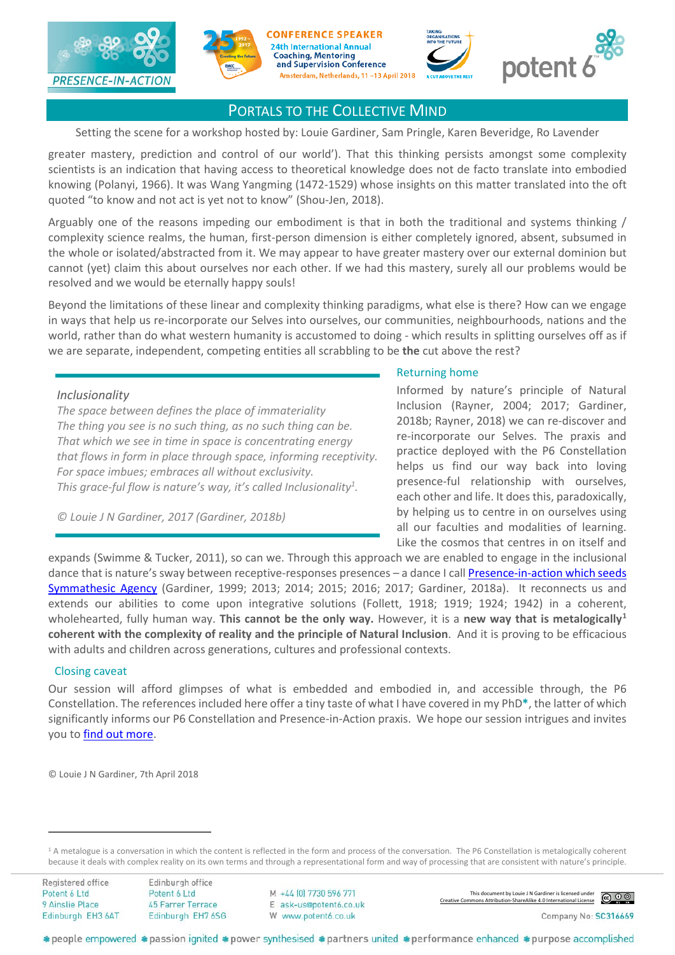









Setting the scene for a workshop hosted by: Louie Gardiner, Sam Pringle, Karen Beveridge, Ro Lavender

greater mastery, prediction and control of our world'). That this thinking persists amongst some complexity scientists is an indication that having access to theoretical knowledge does not de facto translate into embodied knowing (Polanyi, 1966). It was Wang Yangming (1472-1529) whose insights on this matter translated into the oft quoted "to know and not act is yet not to know" (Shou-Jen, 2018).

Arguably one of the reasons impeding our embodiment is that in both the traditional and systems thinking / complexity science realms, the human, first-person dimension is either completely ignored, absent, subsumed in the whole or isolated/abstracted from it. We may appear to have greater mastery over our external dominion but cannot (yet) claim this about ourselves nor each other. If we had this mastery, surely all our problems would be resolved and we would be eternally happy souls!

Beyond the limitations of these linear and complexity thinking paradigms, what else is there? How can we engage in ways that help us re-incorporate our Selves into ourselves, our communities, neighbourhoods, nations and the world, rather than do what western humanity is accustomed to doing - which results in splitting ourselves off as if we are separate, independent, competing entities all scrabbling to be **the** cut above the rest?

#### *Inclusionality*

*The space between defines the place of immateriality The thing you see is no such thing, as no such thing can be. That which we see in time in space is concentrating energy that flows in form in place through space, informing receptivity. For space imbues; embraces all without exclusivity. This grace-ful flow is nature's way, it's called Inclusionality1 .*

*© Louie J N Gardiner, 2017 (Gardiner, 2018b)*

#### Returning home

Informed by nature's principle of Natural Inclusion (Rayner, 2004; 2017; Gardiner, 2018b; Rayner, 2018) we can re-discover and re-incorporate our Selves. The praxis and practice deployed with the P6 Constellation helps us find our way back into loving presence-ful relationship with ourselves, each other and life. It does this, paradoxically, by helping us to centre in on ourselves using all our faculties and modalities of learning. Like the cosmos that centres in on itself and

expands (Swimme & Tucker, 2011), so can we. Through this approach we are enabled to engage in the inclusional dance that is nature's sway between receptive-responses presences - a dance I call **Presence-in-action which seeds** [Symmathesic Agency](http://potent6.co.uk/corporate-consulting/) (Gardiner, 1999; 2013; 2014; 2015; 2016; 2017; Gardiner, 2018a). It reconnects us and extends our abilities to come upon integrative solutions (Follett, 1918; 1919; 1924; 1942) in a coherent, wholehearted, fully human way. **This cannot be the only way.** However, it is a **new way that is metalogically[1](#page-2-0) coherent with the complexity of reality and the principle of Natural Inclusion**. And it is proving to be efficacious with adults and children across generations, cultures and professional contexts.

#### Closing caveat

Our session will afford glimpses of what is embedded and embodied in, and accessible through, the P6 Constellation. The references included here offer a tiny taste of what I have covered in my PhD**\***, the latter of which significantly informs our P6 Constellation and Presence-in-Action praxis. We hope our session intrigues and invites you t[o find out more.](http://www.potent6.co.uk/)

© Louie J N Gardiner, 7th April 2018

Registered office Potent 6 Ltd 9 Ainslie Place Edinburgh EH3 6AT

 $\overline{a}$ 

This document by Louie J N Gardiner is licensed under [Creative Commons Attribution-ShareAlike 4.0 International License](http://creativecommons.org/licenses/by-sa/4.0/)



<span id="page-2-0"></span><sup>&</sup>lt;sup>1</sup> A metalogue is a conversation in which the content is reflected in the form and process of the conversation. The P6 Constellation is metalogically coherent because it deals with complex reality on its own terms and through a representational form and way of processing that are consistent with nature's principle.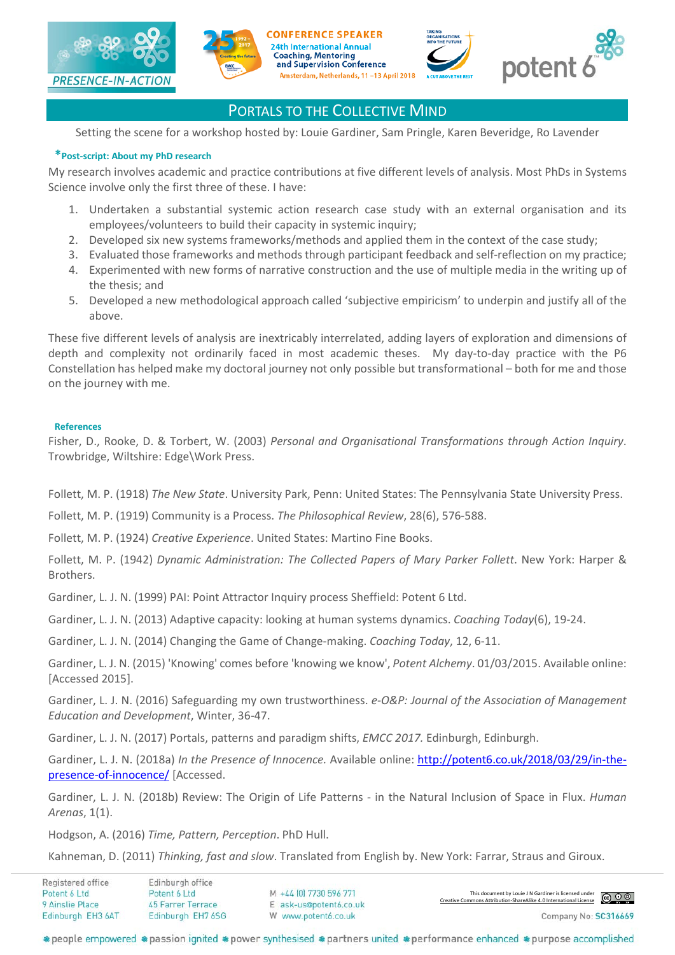







# potent

# PORTALS TO THE COLLECTIVE MIND

Setting the scene for a workshop hosted by: Louie Gardiner, Sam Pringle, Karen Beveridge, Ro Lavender

# **\*Post-script: About my PhD research**

My research involves academic and practice contributions at five different levels of analysis. Most PhDs in Systems Science involve only the first three of these. I have:

- 1. Undertaken a substantial systemic action research case study with an external organisation and its employees/volunteers to build their capacity in systemic inquiry;
- 2. Developed six new systems frameworks/methods and applied them in the context of the case study;
- 3. Evaluated those frameworks and methods through participant feedback and self-reflection on my practice;
- 4. Experimented with new forms of narrative construction and the use of multiple media in the writing up of the thesis; and
- 5. Developed a new methodological approach called 'subjective empiricism' to underpin and justify all of the above.

These five different levels of analysis are inextricably interrelated, adding layers of exploration and dimensions of depth and complexity not ordinarily faced in most academic theses. My day-to-day practice with the P6 Constellation has helped make my doctoral journey not only possible but transformational – both for me and those on the journey with me.

#### **References**

Fisher, D., Rooke, D. & Torbert, W. (2003) *Personal and Organisational Transformations through Action Inquiry*. Trowbridge, Wiltshire: Edge\Work Press.

Follett, M. P. (1918) *The New State*. University Park, Penn: United States: The Pennsylvania State University Press.

Follett, M. P. (1919) Community is a Process. *The Philosophical Review*, 28(6), 576-588.

Follett, M. P. (1924) *Creative Experience*. United States: Martino Fine Books.

Follett, M. P. (1942) *Dynamic Administration: The Collected Papers of Mary Parker Follett*. New York: Harper & Brothers.

Gardiner, L. J. N. (1999) PAI: Point Attractor Inquiry process Sheffield: Potent 6 Ltd.

Gardiner, L. J. N. (2013) Adaptive capacity: looking at human systems dynamics. *Coaching Today*(6), 19-24.

Gardiner, L. J. N. (2014) Changing the Game of Change-making. *Coaching Today*, 12, 6-11.

Gardiner, L. J. N. (2015) 'Knowing' comes before 'knowing we know', *Potent Alchemy*. 01/03/2015. Available online: [Accessed 2015].

Gardiner, L. J. N. (2016) Safeguarding my own trustworthiness. *e-O&P: Journal of the Association of Management Education and Development*, Winter, 36-47.

Gardiner, L. J. N. (2017) Portals, patterns and paradigm shifts, *EMCC 2017.* Edinburgh, Edinburgh.

Gardiner, L. J. N. (2018a) *In the Presence of Innocence.* Available online: [http://potent6.co.uk/2018/03/29/in-the](http://potent6.co.uk/2018/03/29/in-the-presence-of-innocence/)[presence-of-innocence/](http://potent6.co.uk/2018/03/29/in-the-presence-of-innocence/) [Accessed.

Gardiner, L. J. N. (2018b) Review: The Origin of Life Patterns - in the Natural Inclusion of Space in Flux. *Human Arenas*, 1(1).

Hodgson, A. (2016) *Time, Pattern, Perception*. PhD Hull.

Kahneman, D. (2011) *Thinking, fast and slow*. Translated from English by. New York: Farrar, Straus and Giroux.

| Registered office | Edinburgh office  |                        |                                                                                                                 |
|-------------------|-------------------|------------------------|-----------------------------------------------------------------------------------------------------------------|
| Potent 6 Ltd      | Potent 6 Ltd      | M +44 [0] 7730 596 771 | This document by Louie J N Gardiner is licensed under<br>mmons Attribution-ShareAlike 4.0 International License |
| 9 Ainslie Place   | 45 Farrer Terrace | E ask-us@potent6.co.uk | Creative Commons Attribution-ShareAlike 4.0 International License                                               |
| Edinburgh EH3 6AT | Edinburgh EH7 6SG | W www.potent6.co.uk    | Company No: SC316669                                                                                            |
|                   |                   |                        |                                                                                                                 |